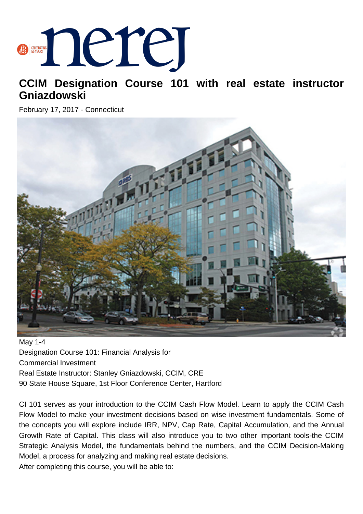## **BERRING DELLE**

## **CCIM Designation Course 101 with real estate instructor Gniazdowski**

February 17, 2017 - Connecticut



May 1-4 Designation Course 101: Financial Analysis for Commercial Investment Real Estate Instructor: Stanley Gniazdowski, CCIM, CRE 90 State House Square, 1st Floor Conference Center, Hartford

CI 101 serves as your introduction to the CCIM Cash Flow Model. Learn to apply the CCIM Cash Flow Model to make your investment decisions based on wise investment fundamentals. Some of the concepts you will explore include IRR, NPV, Cap Rate, Capital Accumulation, and the Annual Growth Rate of Capital. This class will also introduce you to two other important tools-the CCIM Strategic Analysis Model, the fundamentals behind the numbers, and the CCIM Decision-Making Model, a process for analyzing and making real estate decisions. After completing this course, you will be able to: